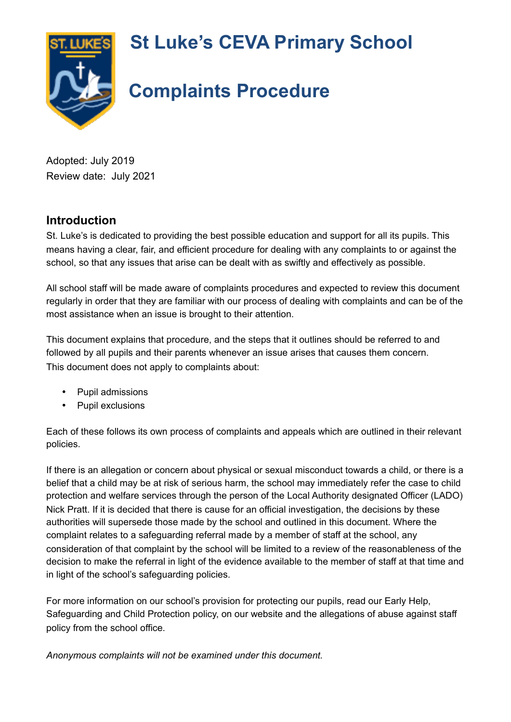**St Luke's CEVA Primary School**



# **Complaints Procedure**

Adopted: July 2019 Review date: July 2021

#### **Introduction**

St. Luke's is dedicated to providing the best possible education and support for all its pupils. This means having a clear, fair, and efficient procedure for dealing with any complaints to or against the school, so that any issues that arise can be dealt with as swiftly and effectively as possible.

All school staff will be made aware of complaints procedures and expected to review this document regularly in order that they are familiar with our process of dealing with complaints and can be of the most assistance when an issue is brought to their attention.

This document explains that procedure, and the steps that it outlines should be referred to and followed by all pupils and their parents whenever an issue arises that causes them concern. This document does not apply to complaints about:

- Pupil admissions
- Pupil exclusions

Each of these follows its own process of complaints and appeals which are outlined in their relevant policies.

If there is an allegation or concern about physical or sexual misconduct towards a child, or there is a belief that a child may be at risk of serious harm, the school may immediately refer the case to child protection and welfare services through the person of the Local Authority designated Officer (LADO) Nick Pratt. If it is decided that there is cause for an official investigation, the decisions by these authorities will supersede those made by the school and outlined in this document. Where the complaint relates to a safeguarding referral made by a member of staff at the school, any consideration of that complaint by the school will be limited to a review of the reasonableness of the decision to make the referral in light of the evidence available to the member of staff at that time and in light of the school's safeguarding policies.

For more information on our school's provision for protecting our pupils, read our Early Help, Safeguarding and Child Protection policy, on our website and the allegations of abuse against staff policy from the school office.

*Anonymous complaints will not be examined under this document.*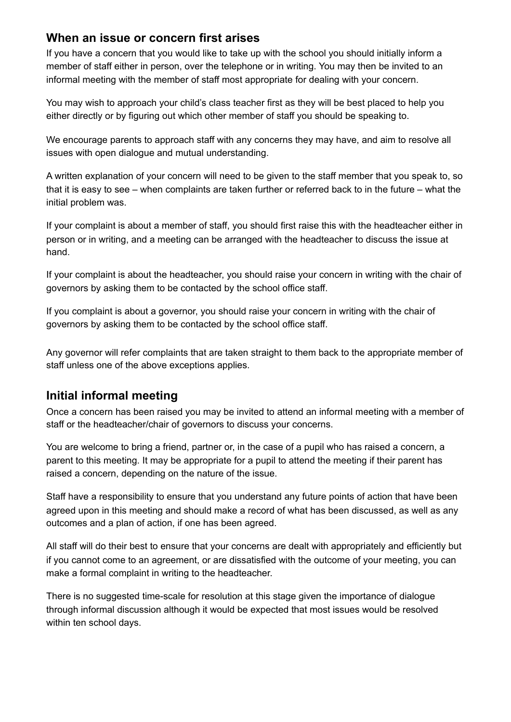#### **When an issue or concern first arises**

If you have a concern that you would like to take up with the school you should initially inform a member of staff either in person, over the telephone or in writing. You may then be invited to an informal meeting with the member of staff most appropriate for dealing with your concern.

You may wish to approach your child's class teacher first as they will be best placed to help you either directly or by figuring out which other member of staff you should be speaking to.

We encourage parents to approach staff with any concerns they may have, and aim to resolve all issues with open dialogue and mutual understanding.

A written explanation of your concern will need to be given to the staff member that you speak to, so that it is easy to see – when complaints are taken further or referred back to in the future – what the initial problem was.

If your complaint is about a member of staff, you should first raise this with the headteacher either in person or in writing, and a meeting can be arranged with the headteacher to discuss the issue at hand.

If your complaint is about the headteacher, you should raise your concern in writing with the chair of governors by asking them to be contacted by the school office staff.

If you complaint is about a governor, you should raise your concern in writing with the chair of governors by asking them to be contacted by the school office staff.

Any governor will refer complaints that are taken straight to them back to the appropriate member of staff unless one of the above exceptions applies.

## **Initial informal meeting**

Once a concern has been raised you may be invited to attend an informal meeting with a member of staff or the headteacher/chair of governors to discuss your concerns.

You are welcome to bring a friend, partner or, in the case of a pupil who has raised a concern, a parent to this meeting. It may be appropriate for a pupil to attend the meeting if their parent has raised a concern, depending on the nature of the issue.

Staff have a responsibility to ensure that you understand any future points of action that have been agreed upon in this meeting and should make a record of what has been discussed, as well as any outcomes and a plan of action, if one has been agreed.

All staff will do their best to ensure that your concerns are dealt with appropriately and efficiently but if you cannot come to an agreement, or are dissatisfied with the outcome of your meeting, you can make a formal complaint in writing to the headteacher.

There is no suggested time-scale for resolution at this stage given the importance of dialogue through informal discussion although it would be expected that most issues would be resolved within ten school days.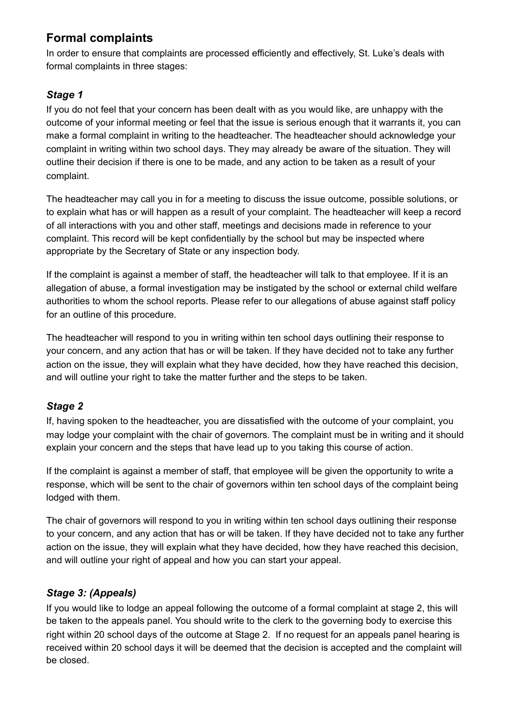## **Formal complaints**

In order to ensure that complaints are processed efficiently and effectively, St. Luke's deals with formal complaints in three stages:

#### *Stage 1*

If you do not feel that your concern has been dealt with as you would like, are unhappy with the outcome of your informal meeting or feel that the issue is serious enough that it warrants it, you can make a formal complaint in writing to the headteacher. The headteacher should acknowledge your complaint in writing within two school days. They may already be aware of the situation. They will outline their decision if there is one to be made, and any action to be taken as a result of your complaint.

The headteacher may call you in for a meeting to discuss the issue outcome, possible solutions, or to explain what has or will happen as a result of your complaint. The headteacher will keep a record of all interactions with you and other staff, meetings and decisions made in reference to your complaint. This record will be kept confidentially by the school but may be inspected where appropriate by the Secretary of State or any inspection body.

If the complaint is against a member of staff, the headteacher will talk to that employee. If it is an allegation of abuse, a formal investigation may be instigated by the school or external child welfare authorities to whom the school reports. Please refer to our allegations of abuse against staff policy for an outline of this procedure.

The headteacher will respond to you in writing within ten school days outlining their response to your concern, and any action that has or will be taken. If they have decided not to take any further action on the issue, they will explain what they have decided, how they have reached this decision, and will outline your right to take the matter further and the steps to be taken.

#### *Stage 2*

If, having spoken to the headteacher, you are dissatisfied with the outcome of your complaint, you may lodge your complaint with the chair of governors. The complaint must be in writing and it should explain your concern and the steps that have lead up to you taking this course of action.

If the complaint is against a member of staff, that employee will be given the opportunity to write a response, which will be sent to the chair of governors within ten school days of the complaint being lodged with them.

The chair of governors will respond to you in writing within ten school days outlining their response to your concern, and any action that has or will be taken. If they have decided not to take any further action on the issue, they will explain what they have decided, how they have reached this decision, and will outline your right of appeal and how you can start your appeal.

#### *Stage 3: (Appeals)*

If you would like to lodge an appeal following the outcome of a formal complaint at stage 2, this will be taken to the appeals panel. You should write to the clerk to the governing body to exercise this right within 20 school days of the outcome at Stage 2. If no request for an appeals panel hearing is received within 20 school days it will be deemed that the decision is accepted and the complaint will be closed.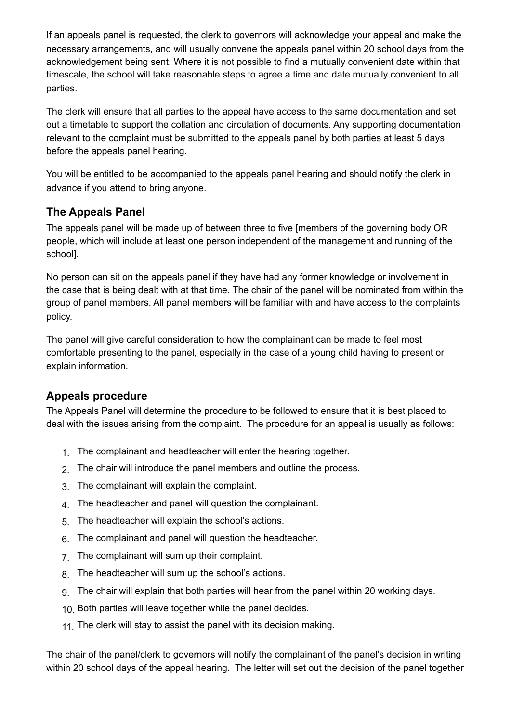If an appeals panel is requested, the clerk to governors will acknowledge your appeal and make the necessary arrangements, and will usually convene the appeals panel within 20 school days from the acknowledgement being sent. Where it is not possible to find a mutually convenient date within that timescale, the school will take reasonable steps to agree a time and date mutually convenient to all parties.

The clerk will ensure that all parties to the appeal have access to the same documentation and set out a timetable to support the collation and circulation of documents. Any supporting documentation relevant to the complaint must be submitted to the appeals panel by both parties at least 5 days before the appeals panel hearing.

You will be entitled to be accompanied to the appeals panel hearing and should notify the clerk in advance if you attend to bring anyone.

#### **The Appeals Panel**

The appeals panel will be made up of between three to five [members of the governing body OR people, which will include at least one person independent of the management and running of the school].

No person can sit on the appeals panel if they have had any former knowledge or involvement in the case that is being dealt with at that time. The chair of the panel will be nominated from within the group of panel members. All panel members will be familiar with and have access to the complaints policy.

The panel will give careful consideration to how the complainant can be made to feel most comfortable presenting to the panel, especially in the case of a young child having to present or explain information.

#### **Appeals procedure**

The Appeals Panel will determine the procedure to be followed to ensure that it is best placed to deal with the issues arising from the complaint. The procedure for an appeal is usually as follows:

- 1. The complainant and headteacher will enter the hearing together.
- 2. The chair will introduce the panel members and outline the process.
- 3. The complainant will explain the complaint.
- 4. The headteacher and panel will question the complainant.
- 5. The headteacher will explain the school's actions.
- 6. The complainant and panel will question the headteacher.
- 7. The complainant will sum up their complaint.
- 8. The headteacher will sum up the school's actions.
- 9. The chair will explain that both parties will hear from the panel within 20 working days.
- 10. Both parties will leave together while the panel decides.
- 11. The clerk will stay to assist the panel with its decision making.

The chair of the panel/clerk to governors will notify the complainant of the panel's decision in writing within 20 school days of the appeal hearing. The letter will set out the decision of the panel together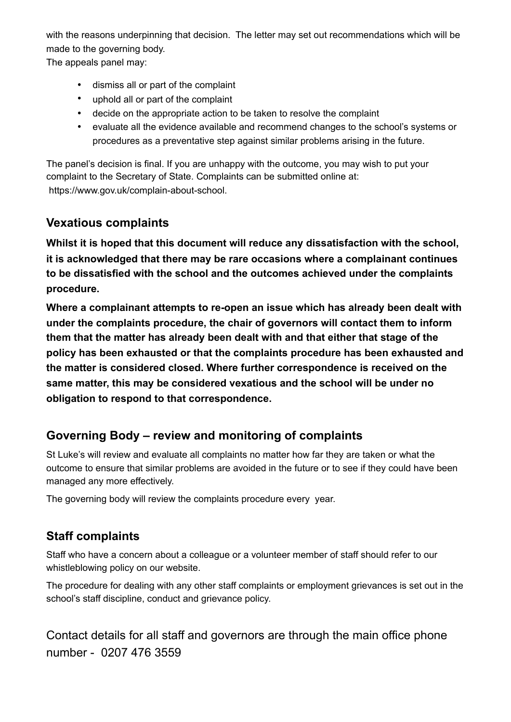with the reasons underpinning that decision. The letter may set out recommendations which will be made to the governing body.

The appeals panel may:

- dismiss all or part of the complaint
- uphold all or part of the complaint
- decide on the appropriate action to be taken to resolve the complaint
- evaluate all the evidence available and recommend changes to the school's systems or procedures as a preventative step against similar problems arising in the future.

The panel's decision is final. If you are unhappy with the outcome, you may wish to put your complaint to the Secretary of State. Complaints can be submitted online at: https://www.gov.uk/complain-about-school.

#### **Vexatious complaints**

**Whilst it is hoped that this document will reduce any dissatisfaction with the school, it is acknowledged that there may be rare occasions where a complainant continues to be dissatisfied with the school and the outcomes achieved under the complaints procedure.** 

**Where a complainant attempts to re-open an issue which has already been dealt with under the complaints procedure, the chair of governors will contact them to inform them that the matter has already been dealt with and that either that stage of the policy has been exhausted or that the complaints procedure has been exhausted and the matter is considered closed. Where further correspondence is received on the same matter, this may be considered vexatious and the school will be under no obligation to respond to that correspondence.** 

## **Governing Body – review and monitoring of complaints**

St Luke's will review and evaluate all complaints no matter how far they are taken or what the outcome to ensure that similar problems are avoided in the future or to see if they could have been managed any more effectively.

The governing body will review the complaints procedure every year.

## **Staff complaints**

Staff who have a concern about a colleague or a volunteer member of staff should refer to our whistleblowing policy on our website.

The procedure for dealing with any other staff complaints or employment grievances is set out in the school's staff discipline, conduct and grievance policy.

Contact details for all staff and governors are through the main office phone number - 0207 476 3559